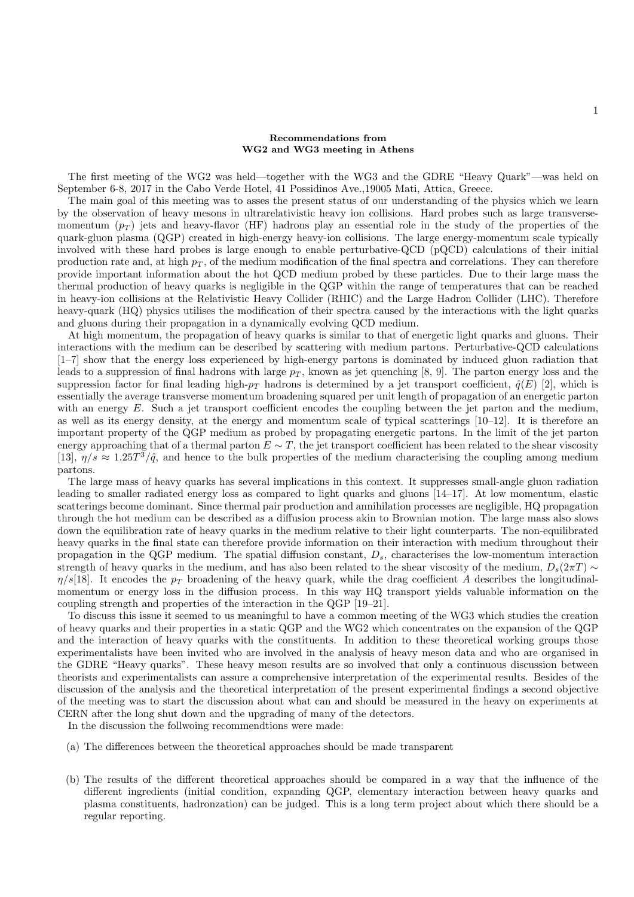## Recommendations from WG2 and WG3 meeting in Athens

The first meeting of the WG2 was held—together with the WG3 and the GDRE "Heavy Quark"—was held on September 6-8, 2017 in the Cabo Verde Hotel, 41 Possidinos Ave.,19005 Mati, Attica, Greece.

The main goal of this meeting was to asses the present status of our understanding of the physics which we learn by the observation of heavy mesons in ultrarelativistic heavy ion collisions. Hard probes such as large transversemomentum  $(p_T)$  jets and heavy-flavor (HF) hadrons play an essential role in the study of the properties of the quark-gluon plasma (QGP) created in high-energy heavy-ion collisions. The large energy-momentum scale typically involved with these hard probes is large enough to enable perturbative-QCD (pQCD) calculations of their initial production rate and, at high  $p<sub>T</sub>$ , of the medium modification of the final spectra and correlations. They can therefore provide important information about the hot QCD medium probed by these particles. Due to their large mass the thermal production of heavy quarks is negligible in the QGP within the range of temperatures that can be reached in heavy-ion collisions at the Relativistic Heavy Collider (RHIC) and the Large Hadron Collider (LHC). Therefore heavy-quark (HQ) physics utilises the modification of their spectra caused by the interactions with the light quarks and gluons during their propagation in a dynamically evolving QCD medium.

At high momentum, the propagation of heavy quarks is similar to that of energetic light quarks and gluons. Their interactions with the medium can be described by scattering with medium partons. Perturbative-QCD calculations [1–7] show that the energy loss experienced by high-energy partons is dominated by induced gluon radiation that leads to a suppression of final hadrons with large  $p<sub>T</sub>$ , known as jet quenching [8, 9]. The parton energy loss and the suppression factor for final leading high- $p_T$  hadrons is determined by a jet transport coefficient,  $\hat{q}(E)$  [2], which is essentially the average transverse momentum broadening squared per unit length of propagation of an energetic parton with an energy E. Such a jet transport coefficient encodes the coupling between the jet parton and the medium, as well as its energy density, at the energy and momentum scale of typical scatterings  $[10-12]$ . It is therefore an important property of the QGP medium as probed by propagating energetic partons. In the limit of the jet parton energy approaching that of a thermal parton  $E \sim T$ , the jet transport coefficient has been related to the shear viscosity [13],  $\eta/s \approx 1.25T^3/\hat{q}$ , and hence to the bulk properties of the medium characterising the coupling among medium partons.

The large mass of heavy quarks has several implications in this context. It suppresses small-angle gluon radiation leading to smaller radiated energy loss as compared to light quarks and gluons [14–17]. At low momentum, elastic scatterings become dominant. Since thermal pair production and annihilation processes are negligible, HQ propagation through the hot medium can be described as a diffusion process akin to Brownian motion. The large mass also slows down the equilibration rate of heavy quarks in the medium relative to their light counterparts. The non-equilibrated heavy quarks in the final state can therefore provide information on their interaction with medium throughout their propagation in the QGP medium. The spatial diffusion constant,  $D_s$ , characterises the low-momentum interaction strength of heavy quarks in the medium, and has also been related to the shear viscosity of the medium,  $D_s(2\pi T) \sim$  $\eta/s[18]$ . It encodes the  $p_T$  broadening of the heavy quark, while the drag coefficient A describes the longitudinalmomentum or energy loss in the diffusion process. In this way HQ transport yields valuable information on the coupling strength and properties of the interaction in the QGP [19–21].

To discuss this issue it seemed to us meaningful to have a common meeting of the WG3 which studies the creation of heavy quarks and their properties in a static QGP and the WG2 which concentrates on the expansion of the QGP and the interaction of heavy quarks with the constituents. In addition to these theoretical working groups those experimentalists have been invited who are involved in the analysis of heavy meson data and who are organised in the GDRE "Heavy quarks". These heavy meson results are so involved that only a continuous discussion between theorists and experimentalists can assure a comprehensive interpretation of the experimental results. Besides of the discussion of the analysis and the theoretical interpretation of the present experimental findings a second objective of the meeting was to start the discussion about what can and should be measured in the heavy on experiments at CERN after the long shut down and the upgrading of many of the detectors.

In the discussion the follwoing recommendtions were made:

- (a) The differences between the theoretical approaches should be made transparent
- (b) The results of the different theoretical approaches should be compared in a way that the influence of the different ingredients (initial condition, expanding QGP, elementary interaction between heavy quarks and plasma constituents, hadronzation) can be judged. This is a long term project about which there should be a regular reporting.